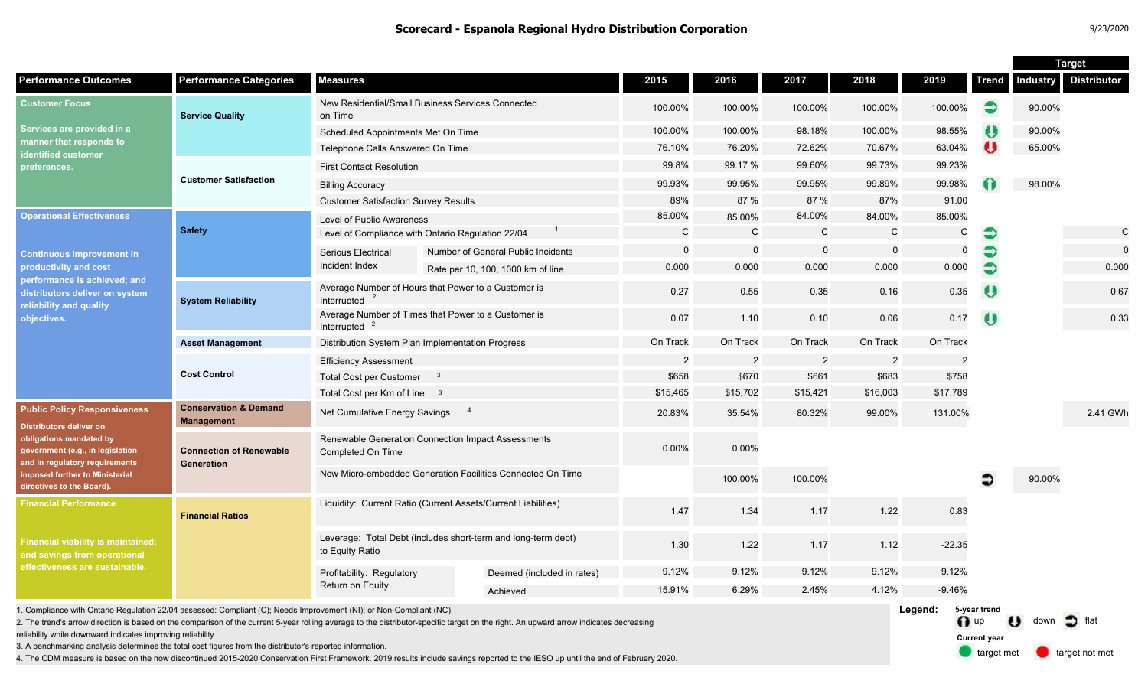|                                                                                                                                                                                                                                |                                                       |                                                                                  |                                                     |                |                |                |                |                |                   |                 | <b>Target</b>      |
|--------------------------------------------------------------------------------------------------------------------------------------------------------------------------------------------------------------------------------|-------------------------------------------------------|----------------------------------------------------------------------------------|-----------------------------------------------------|----------------|----------------|----------------|----------------|----------------|-------------------|-----------------|--------------------|
| <b>Performance Outcomes</b>                                                                                                                                                                                                    | <b>Performance Categories</b>                         | <b>Measures</b>                                                                  |                                                     | 2015           | 2016           | 2017           | 2018           | 2019           | Trend             | <b>Industry</b> | <b>Distributor</b> |
| <b>Customer Focus</b><br>Services are provided in a<br>manner that responds to<br>identified customer<br>preferences.                                                                                                          | <b>Service Quality</b>                                | on Time                                                                          | New Residential/Small Business Services Connected   | 100.00%        | 100.00%        | 100.00%        | 100.00%        | 100.00%        | €                 | 90.00%          |                    |
|                                                                                                                                                                                                                                |                                                       | Scheduled Appointments Met On Time                                               |                                                     | 100.00%        | 100.00%        | 98.18%         | 100.00%        | 98.55%         | ↔                 | 90.00%          |                    |
|                                                                                                                                                                                                                                |                                                       | Telephone Calls Answered On Time                                                 |                                                     | 76.10%         | 76.20%         | 72.62%         | 70.67%         | 63.04%         | $\bullet$         | 65.00%          |                    |
|                                                                                                                                                                                                                                | <b>Customer Satisfaction</b>                          | <b>First Contact Resolution</b>                                                  |                                                     | 99.8%          | 99.17%         | 99.60%         | 99.73%         | 99.23%         |                   |                 |                    |
|                                                                                                                                                                                                                                |                                                       | <b>Billing Accuracy</b>                                                          |                                                     | 99.93%         | 99.95%         | 99.95%         | 99.89%         | 99.98%         |                   | 98.00%          |                    |
|                                                                                                                                                                                                                                |                                                       | <b>Customer Satisfaction Survey Results</b>                                      |                                                     | 89%            | 87 %           | 87 %           | 87%            | 91.00          |                   |                 |                    |
| <b>Operational Effectiveness</b><br><b>Continuous improvement in</b><br>productivity and cost<br>performance is achieved; and<br>distributors deliver on system<br>reliability and quality<br>objectives.                      | <b>Safety</b>                                         | Level of Public Awareness                                                        |                                                     | 85.00%         | 85.00%         | 84.00%         | 84.00%         | 85.00%         |                   |                 |                    |
|                                                                                                                                                                                                                                |                                                       | Level of Compliance with Ontario Regulation 22/04                                |                                                     | $\mathsf{C}$   | $\mathsf{C}$   | $\mathsf{C}$   | $\mathsf{C}$   | C              | €                 |                 | $\mathbf C$        |
|                                                                                                                                                                                                                                |                                                       | <b>Serious Electrical</b>                                                        | Number of General Public Incidents                  | 0              | 0              | $\mathbf 0$    | 0              | 0              | €                 |                 | $\mathbf 0$        |
|                                                                                                                                                                                                                                |                                                       | Incident Index                                                                   | Rate per 10, 100, 1000 km of line                   | 0.000          | 0.000          | 0.000          | 0.000          | 0.000          | €                 |                 | 0.000              |
|                                                                                                                                                                                                                                | <b>System Reliability</b>                             | Interrupted                                                                      | Average Number of Hours that Power to a Customer is | 0.27           | 0.55           | 0.35           | 0.16           |                | $\bullet$<br>0.35 |                 | 0.67               |
|                                                                                                                                                                                                                                |                                                       | Average Number of Times that Power to a Customer is<br>Interrupted $2$           |                                                     | 0.07           | 1.10           | 0.10           | 0.06           | 0.17           | $\bullet$         |                 | 0.33               |
|                                                                                                                                                                                                                                | <b>Asset Management</b>                               | Distribution System Plan Implementation Progress                                 | On Track                                            | On Track       | On Track       | On Track       | On Track       |                |                   |                 |                    |
|                                                                                                                                                                                                                                | <b>Cost Control</b>                                   | <b>Efficiency Assessment</b>                                                     |                                                     | $\overline{2}$ | $\overline{c}$ | $\overline{2}$ | $\overline{2}$ | $\overline{2}$ |                   |                 |                    |
|                                                                                                                                                                                                                                |                                                       | <b>Total Cost per Customer</b>                                                   |                                                     | \$658          | \$670          | \$661          | \$683          | \$758          |                   |                 |                    |
|                                                                                                                                                                                                                                |                                                       | Total Cost per Km of Line 3                                                      | \$15,465                                            | \$15,702       | \$15,421       | \$16,003       | \$17,789       |                |                   |                 |                    |
| <b>Public Policy Responsiveness</b><br>Distributors deliver on<br>obligations mandated by<br>government (e.g., in legislation<br>and in regulatory requirements<br>imposed further to Ministerial<br>directives to the Board). | <b>Conservation &amp; Demand</b><br><b>Management</b> | Net Cumulative Energy Savings                                                    | $\overline{4}$                                      | 20.83%         | 35.54%         | 80.32%         | 99.00%         | 131.00%        |                   |                 | 2.41 GWh           |
|                                                                                                                                                                                                                                | <b>Connection of Renewable</b><br>Generation          | Completed On Time                                                                | Renewable Generation Connection Impact Assessments  | 0.00%          | 0.00%          |                |                |                |                   |                 |                    |
|                                                                                                                                                                                                                                |                                                       | New Micro-embedded Generation Facilities Connected On Time                       |                                                     |                | 100.00%        | 100.00%        |                |                | ∍                 | 90.00%          |                    |
| <b>Financial Performance</b><br><b>Financial viability is maintained;</b><br>and savings from operational<br>effectiveness are sustainable.                                                                                    | <b>Financial Ratios</b>                               | Liquidity: Current Ratio (Current Assets/Current Liabilities)                    |                                                     | 1.47           | 1.34           | 1.17           | 1.22           | 0.83           |                   |                 |                    |
|                                                                                                                                                                                                                                |                                                       | Leverage: Total Debt (includes short-term and long-term debt)<br>to Equity Ratio |                                                     | 1.30           | 1.22           | 1.17           | 1.12           | $-22.35$       |                   |                 |                    |
|                                                                                                                                                                                                                                |                                                       | Profitability: Regulatory<br>Return on Equity                                    | Deemed (included in rates)                          | 9.12%          | 9.12%          | 9.12%          | 9.12%          | 9.12%          |                   |                 |                    |
|                                                                                                                                                                                                                                |                                                       |                                                                                  | Achieved                                            | 15.91%         | 6.29%          | 2.45%          | 4.12%          | $-9.46%$       |                   |                 |                    |
|                                                                                                                                                                                                                                |                                                       |                                                                                  |                                                     |                |                |                |                |                |                   |                 |                    |

1. Compliance with Ontario Regulation 22/04 assessed: Compliant (C); Needs Improvement (NI); or Non-Compliant (NC).<br>2. The trend's arrow direction is based on the comparison of the current 5-year rolling average to the dis 2. The trend's arrow direction is based on the comparison of the current 5-year rolling average to the distributor-specific target on the right. An upward arrow indicates decreasing and the comparison of the current 5-yea

reliability while downward indicates improving reliability. **Current year Current year Current year Current year Current year Current year Current year Current year Current year Current year Current int** 

3. A Denchmarking analysis determines the total cost rigures from the distributor's reported information.<br>4. The CDM measure is based on the now discontinued 2015-2020 Conservation First Framework. 2019 results include sav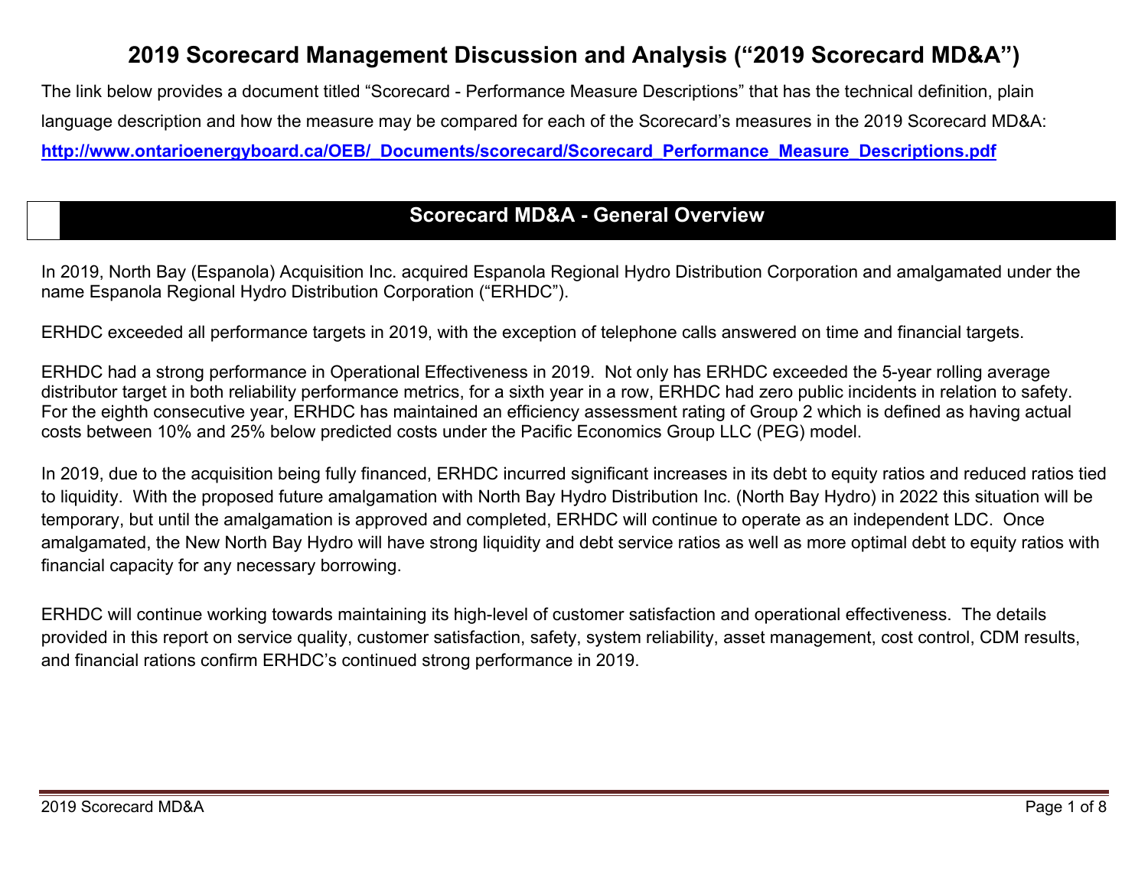# **2019 Scorecard Management Discussion and Analysis ("2019 Scorecard MD&A")**

The link below provides a document titled "Scorecard - Performance Measure Descriptions" that has the technical definition, plain language description and how the measure may be compared for each of the Scorecard's measures in the 2019 Scorecard MD&A: **[http://www.ontarioenergyboard.ca/OEB/\\_Documents/scorecard/Scorecard\\_Performance\\_Measure\\_Descriptions.pdf](http://www.ontarioenergyboard.ca/OEB/_Documents/scorecard/Scorecard_Performance_Measure_Descriptions.pdf)** 

# **Scorecard MD&A - General Overview**

In 2019, North Bay (Espanola) Acquisition Inc. acquired Espanola Regional Hydro Distribution Corporation and amalgamated under the name Espanola Regional Hydro Distribution Corporation ("ERHDC").

ERHDC exceeded all performance targets in 2019, with the exception of telephone calls answered on time and financial targets.

ERHDC had a strong performance in Operational Effectiveness in 2019. Not only has ERHDC exceeded the 5-year rolling average distributor target in both reliability performance metrics, for a sixth year in a row, ERHDC had zero public incidents in relation to safety. For the eighth consecutive year, ERHDC has maintained an efficiency assessment rating of Group 2 which is defined as having actual costs between 10% and 25% below predicted costs under the Pacific Economics Group LLC (PEG) model.

In 2019, due to the acquisition being fully financed, ERHDC incurred significant increases in its debt to equity ratios and reduced ratios tied to liquidity. With the proposed future amalgamation with North Bay Hydro Distribution Inc. (North Bay Hydro) in 2022 this situation will be temporary, but until the amalgamation is approved and completed, ERHDC will continue to operate as an independent LDC. Once amalgamated, the New North Bay Hydro will have strong liquidity and debt service ratios as well as more optimal debt to equity ratios with financial capacity for any necessary borrowing.

ERHDC will continue working towards maintaining its high-level of customer satisfaction and operational effectiveness. The details provided in this report on service quality, customer satisfaction, safety, system reliability, asset management, cost control, CDM results, and financial rations confirm ERHDC's continued strong performance in 2019.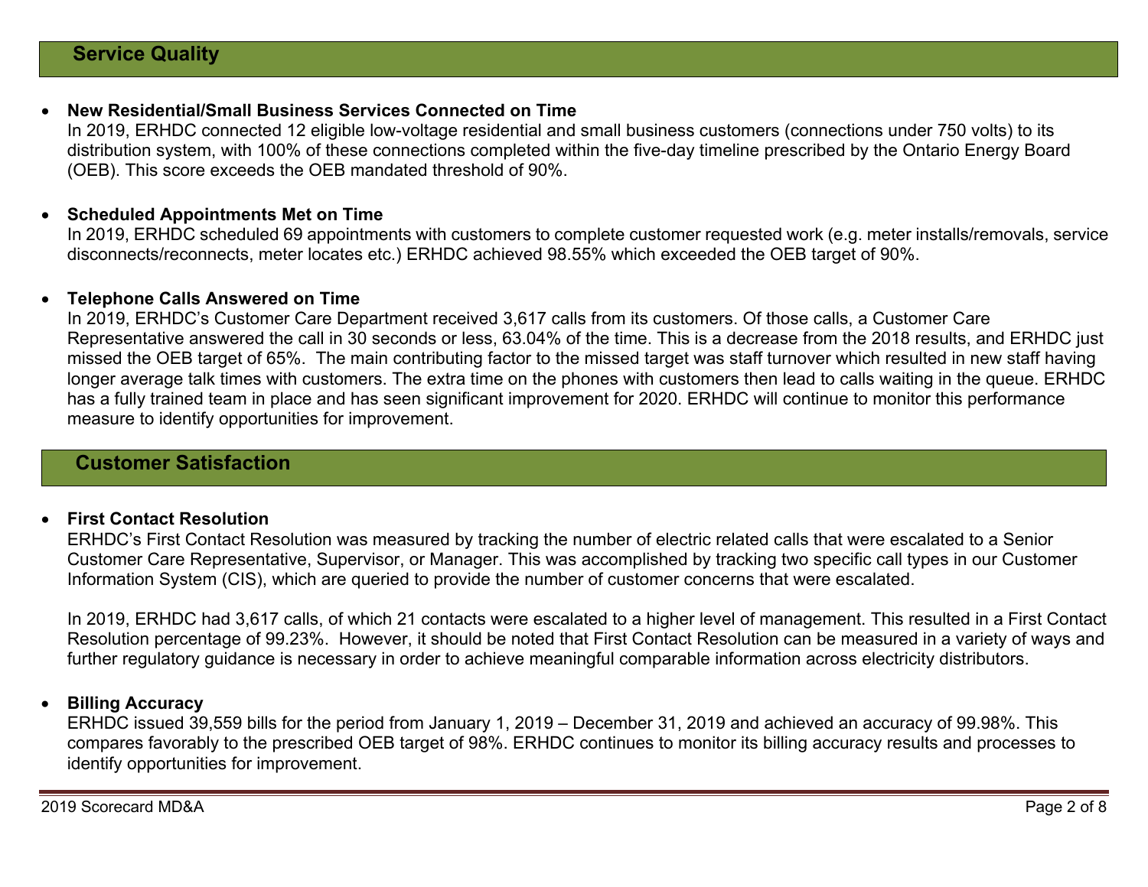#### 0 **New Residential/Small Business Services Connected on Time**

In 2019, ERHDC connected 12 eligible low-voltage residential and small business customers (connections under 750 volts) to its distribution system, with 100% of these connections completed within the five-day timeline prescribed by the Ontario Energy Board (OEB). This score exceeds the OEB mandated threshold of 90%.

#### 0 **Scheduled Appointments Met on Time**

In 2019, ERHDC scheduled 69 appointments with customers to complete customer requested work (e.g. meter installs/removals, service disconnects/reconnects, meter locates etc.) ERHDC achieved 98.55% which exceeded the OEB target of 90%.

#### 0 **Telephone Calls Answered on Time**

In 2019, ERHDC's Customer Care Department received 3,617 calls from its customers. Of those calls, a Customer Care Representative answered the call in 30 seconds or less, 63.04% of the time. This is a decrease from the 2018 results, and ERHDC just missed the OEB target of 65%. The main contributing factor to the missed target was staff turnover which resulted in new staff having longer average talk times with customers. The extra time on the phones with customers then lead to calls waiting in the queue. ERHDC has a fully trained team in place and has seen significant improvement for 2020. ERHDC will continue to monitor this performance measure to identify opportunities for improvement.

### **Customer Satisfaction**

### **First Contact Resolution**

ERHDC's First Contact Resolution was measured by tracking the number of electric related calls that were escalated to a Senior Customer Care Representative, Supervisor, or Manager. This was accomplished by tracking two specific call types in our Customer Information System (CIS), which are queried to provide the number of customer concerns that were escalated.

In 2019, ERHDC had 3,617 calls, of which 21 contacts were escalated to a higher level of management. This resulted in a First Contact Resolution percentage of 99.23%. However, it should be noted that First Contact Resolution can be measured in a variety of ways and further regulatory guidance is necessary in order to achieve meaningful comparable information across electricity distributors.

#### $\bullet$ **Billing Accuracy**

ERHDC issued 39,559 bills for the period from January 1, 2019 – December 31, 2019 and achieved an accuracy of 99.98%. This compares favorably to the prescribed OEB target of 98%. ERHDC continues to monitor its billing accuracy results and processes to identify opportunities for improvement.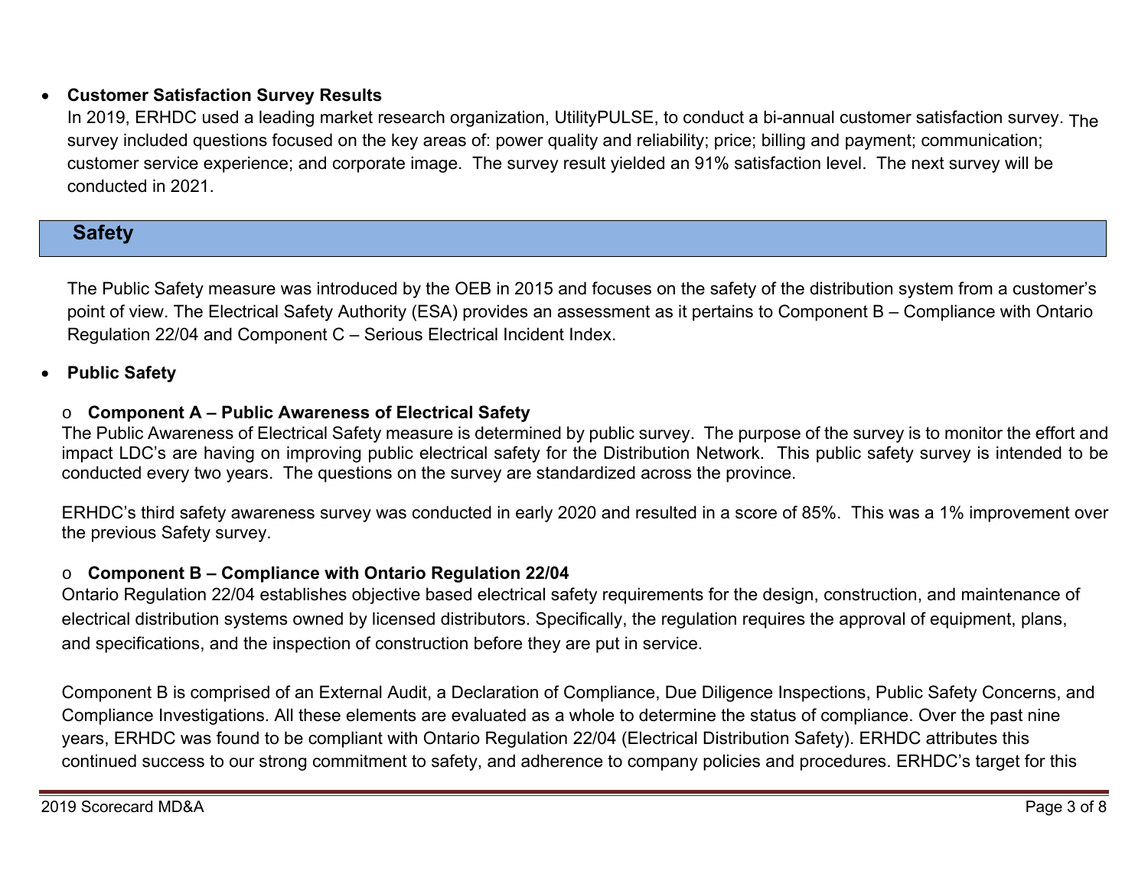#### 0 **Customer Satisfaction Survey Results**

In 2019, ERHDC used a leading market research organization, UtilityPULSE, to conduct a bi-annual customer satisfaction survey. The survey included questions focused on the key areas of: power quality and reliability; price; billing and payment; communication; customer service experience; and corporate image. The survey result yielded an 91% satisfaction level. The next survey will be conducted in 2021.

# **Safety**

The Public Safety measure was introduced by the OEB in 2015 and focuses on the safety of the distribution system from a customer's point of view. The Electrical Safety Authority (ESA) provides an assessment as it pertains to Component B – Compliance with Ontario Regulation 22/04 and Component C – Serious Electrical Incident Index.

#### 0 **Public Safety**

## o **Component A – Public Awareness of Electrical Safety**

The Public Awareness of Electrical Safety measure is determined by public survey. The purpose of the survey is to monitor the effort and impact LDC's are having on improving public electrical safety for the Distribution Network. This public safety survey is intended to be conducted every two years. The questions on the survey are standardized across the province.

ERHDC's third safety awareness survey was conducted in early 2020 and resulted in a score of 85%. This was a 1% improvement over the previous Safety survey.

## o **Component B – Compliance with Ontario Regulation 22/04**

Ontario Regulation 22/04 establishes objective based electrical safety requirements for the design, construction, and maintenance of electrical distribution systems owned by licensed distributors. Specifically, the regulation requires the approval of equipment, plans, and specifications, and the inspection of construction before they are put in service.

Component B is comprised of an External Audit, a Declaration of Compliance, Due Diligence Inspections, Public Safety Concerns, and Compliance Investigations. All these elements are evaluated as a whole to determine the status of compliance. Over the past nine years, ERHDC was found to be compliant with Ontario Regulation 22/04 (Electrical Distribution Safety). ERHDC attributes this continued success to our strong commitment to safety, and adherence to company policies and procedures. ERHDC's target for this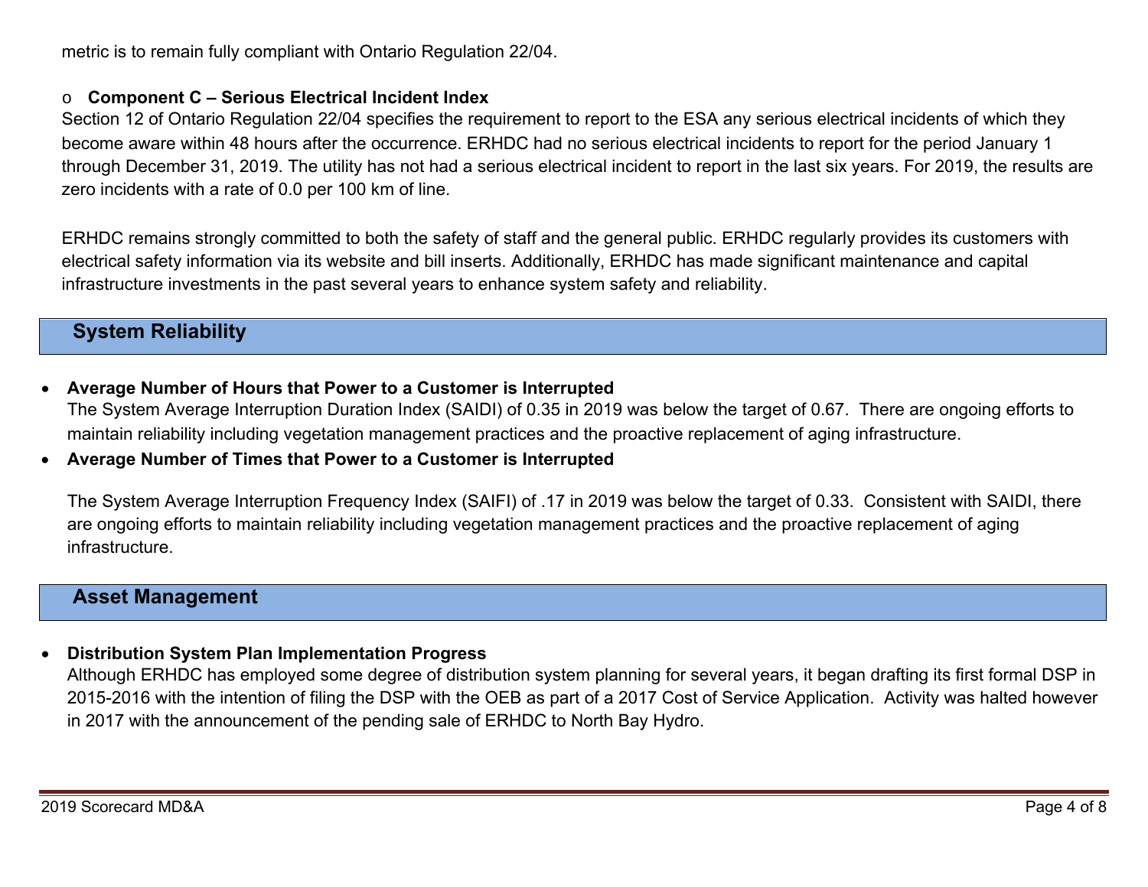metric is to remain fully compliant with Ontario Regulation 22/04.

### o **Component C – Serious Electrical Incident Index**

Section 12 of Ontario Regulation 22/04 specifies the requirement to report to the ESA any serious electrical incidents of which they become aware within 48 hours after the occurrence. ERHDC had no serious electrical incidents to report for the period January 1 through December 31, 2019. The utility has not had a serious electrical incident to report in the last six years. For 2019, the results are zero incidents with a rate of 0.0 per 100 km of line.

ERHDC remains strongly committed to both the safety of staff and the general public. ERHDC regularly provides its customers with electrical safety information via its website and bill inserts. Additionally, ERHDC has made significant maintenance and capital infrastructure investments in the past several years to enhance system safety and reliability.

# **System Reliability**

- 0 **Average Number of Hours that Power to a Customer is Interrupted** The System Average Interruption Duration Index (SAIDI) of 0.35 in 2019 was below the target of 0.67. There are ongoing efforts to maintain reliability including vegetation management practices and the proactive replacement of aging infrastructure.
- 0 **Average Number of Times that Power to a Customer is Interrupted**

The System Average Interruption Frequency Index (SAIFI) of .17 in 2019 was below the target of 0.33. Consistent with SAIDI, there are ongoing efforts to maintain reliability including vegetation management practices and the proactive replacement of aging infrastructure.

## **Asset Management**

0 **Distribution System Plan Implementation Progress** 

Although ERHDC has employed some degree of distribution system planning for several years, it began drafting its first formal DSP in 2015-2016 with the intention of filing the DSP with the OEB as part of a 2017 Cost of Service Application. Activity was halted however in 2017 with the announcement of the pending sale of ERHDC to North Bay Hydro.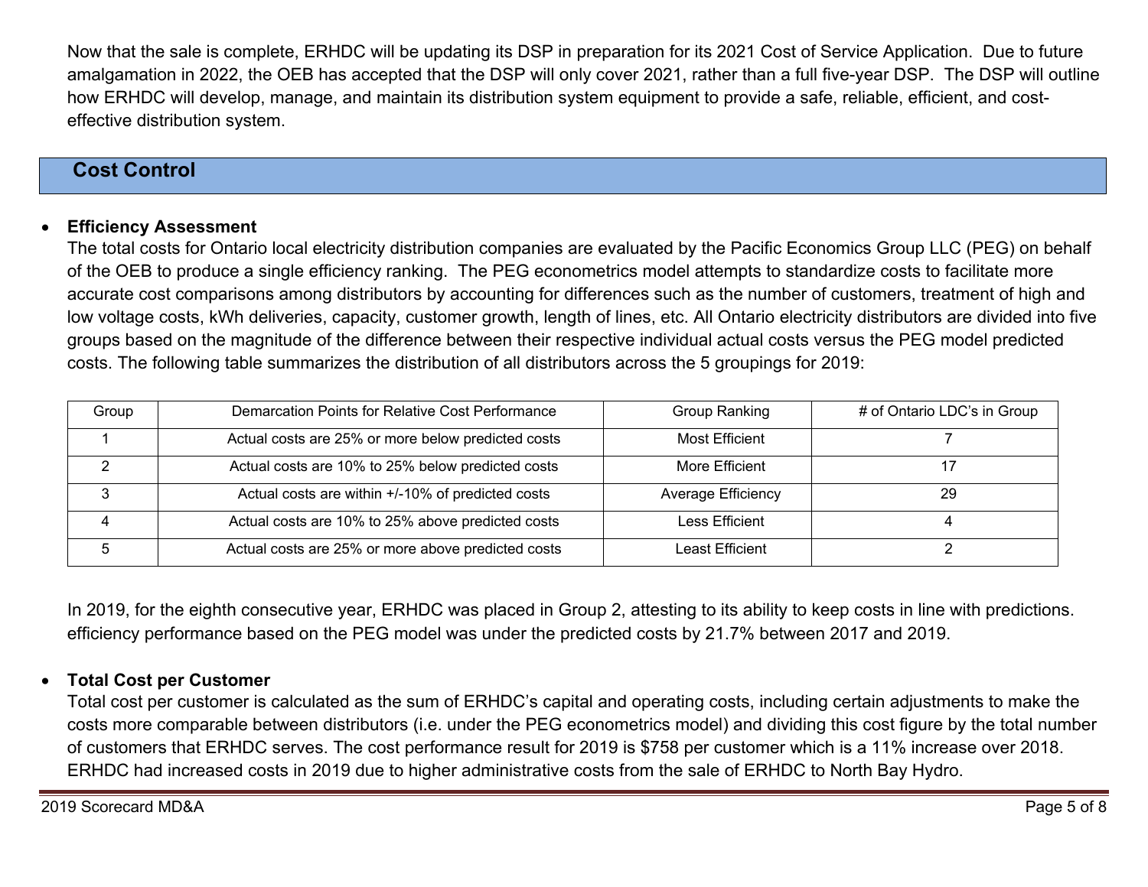Now that the sale is complete, ERHDC will be updating its DSP in preparation for its 2021 Cost of Service Application. Due to future amalgamation in 2022, the OEB has accepted that the DSP will only cover 2021, rather than a full five-year DSP. The DSP will outline how ERHDC will develop, manage, and maintain its distribution system equipment to provide a safe, reliable, efficient, and costeffective distribution system.

# **Cost Control**

#### 0 **Efficiency Assessment**

The total costs for Ontario local electricity distribution companies are evaluated by the Pacific Economics Group LLC (PEG) on behalf of the OEB to produce a single efficiency ranking. The PEG econometrics model attempts to standardize costs to facilitate more accurate cost comparisons among distributors by accounting for differences such as the number of customers, treatment of high and low voltage costs, kWh deliveries, capacity, customer growth, length of lines, etc. All Ontario electricity distributors are divided into five groups based on the magnitude of the difference between their respective individual actual costs versus the PEG model predicted costs. The following table summarizes the distribution of all distributors across the 5 groupings for 2019:

| Group | Demarcation Points for Relative Cost Performance   | Group Ranking      | # of Ontario LDC's in Group |
|-------|----------------------------------------------------|--------------------|-----------------------------|
|       | Actual costs are 25% or more below predicted costs | Most Efficient     |                             |
|       | Actual costs are 10% to 25% below predicted costs  | More Efficient     |                             |
|       | Actual costs are within +/-10% of predicted costs  | Average Efficiency | 29                          |
|       | Actual costs are 10% to 25% above predicted costs  | Less Efficient     |                             |
|       | Actual costs are 25% or more above predicted costs | Least Efficient    |                             |

In 2019, for the eighth consecutive year, ERHDC was placed in Group 2, attesting to its ability to keep costs in line with predictions. efficiency performance based on the PEG model was under the predicted costs by 21.7% between 2017 and 2019.

#### $\bullet$ **Total Cost per Customer**

Total cost per customer is calculated as the sum of ERHDC's capital and operating costs, including certain adjustments to make the costs more comparable between distributors (i.e. under the PEG econometrics model) and dividing this cost figure by the total number of customers that ERHDC serves. The cost performance result for 2019 is \$758 per customer which is a 11% increase over 2018. ERHDC had increased costs in 2019 due to higher administrative costs from the sale of ERHDC to North Bay Hydro.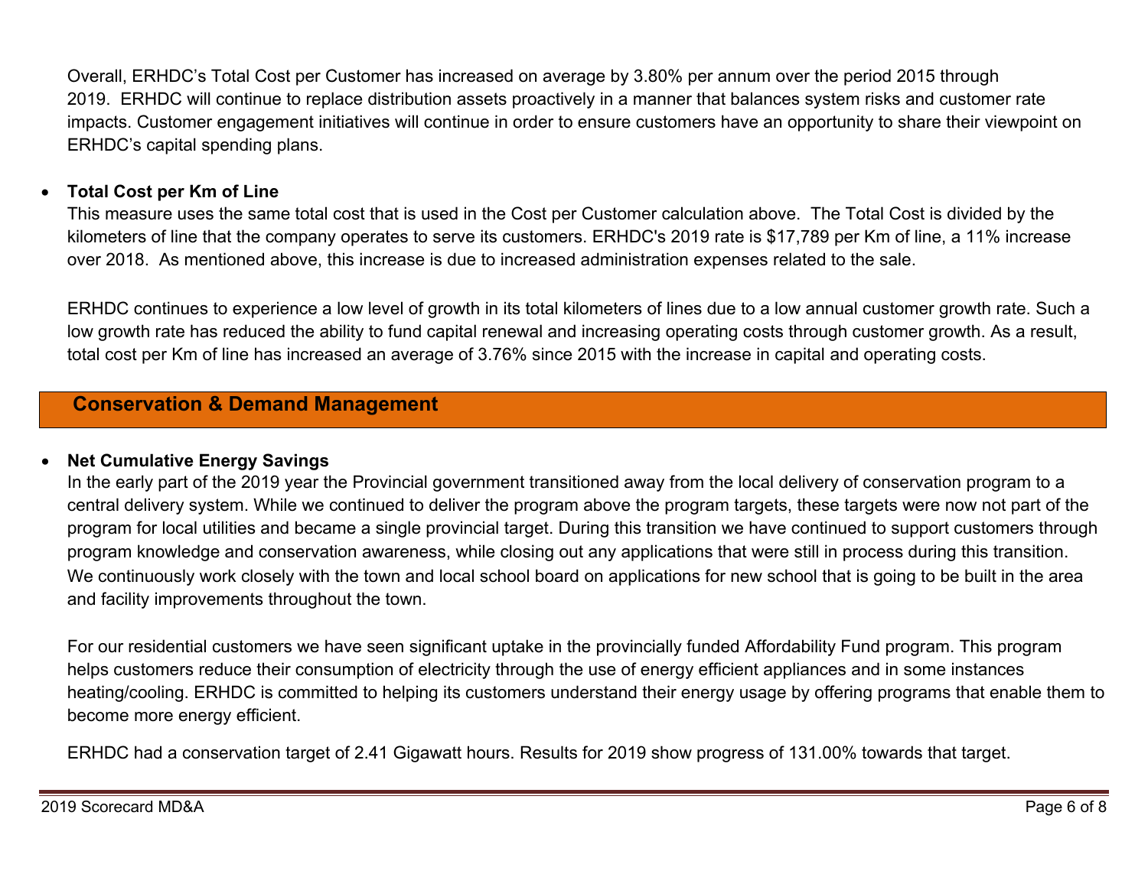Overall, ERHDC's Total Cost per Customer has increased on average by 3.80% per annum over the period 2015 through 2019. ERHDC will continue to replace distribution assets proactively in a manner that balances system risks and customer rate impacts. Customer engagement initiatives will continue in order to ensure customers have an opportunity to share their viewpoint on ERHDC's capital spending plans.

#### 0 **Total Cost per Km of Line**

This measure uses the same total cost that is used in the Cost per Customer calculation above. The Total Cost is divided by the kilometers of line that the company operates to serve its customers. ERHDC's 2019 rate is \$17,789 per Km of line, a 11% increase over 2018. As mentioned above, this increase is due to increased administration expenses related to the sale.

ERHDC continues to experience a low level of growth in its total kilometers of lines due to a low annual customer growth rate. Such a low growth rate has reduced the ability to fund capital renewal and increasing operating costs through customer growth. As a result, total cost per Km of line has increased an average of 3.76% since 2015 with the increase in capital and operating costs.

# **Conservation & Demand Management**

#### 0 **Net Cumulative Energy Savings**

In the early part of the 2019 year the Provincial government transitioned away from the local delivery of conservation program to a central delivery system. While we continued to deliver the program above the program targets, these targets were now not part of the program for local utilities and became a single provincial target. During this transition we have continued to support customers through program knowledge and conservation awareness, while closing out any applications that were still in process during this transition. We continuously work closely with the town and local school board on applications for new school that is going to be built in the area and facility improvements throughout the town.

For our residential customers we have seen significant uptake in the provincially funded Affordability Fund program. This program helps customers reduce their consumption of electricity through the use of energy efficient appliances and in some instances heating/cooling. ERHDC is committed to helping its customers understand their energy usage by offering programs that enable them to become more energy efficient.

ERHDC had a conservation target of 2.41 Gigawatt hours. Results for 2019 show progress of 131.00% towards that target.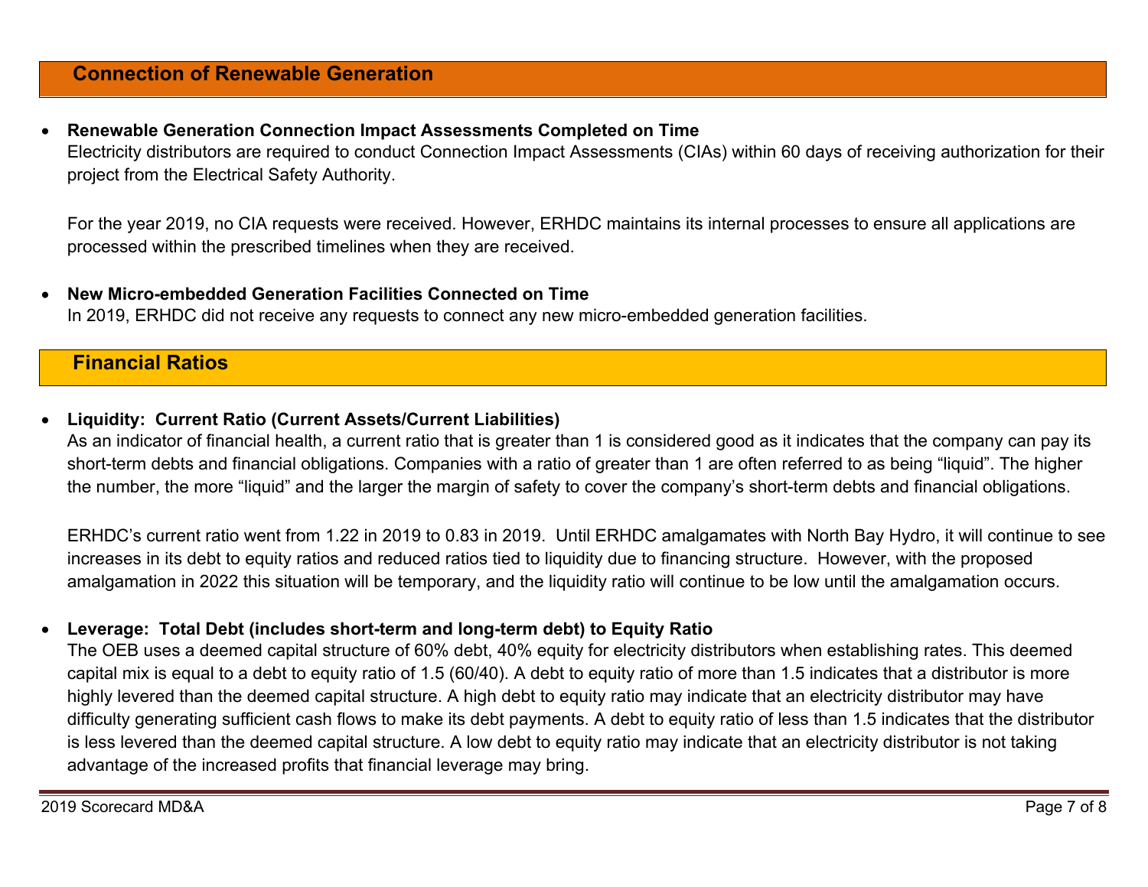### **Connection of Renewable Generation**

#### 0 **Renewable Generation Connection Impact Assessments Completed on Time**

Electricity distributors are required to conduct Connection Impact Assessments (CIAs) within 60 days of receiving authorization for their project from the Electrical Safety Authority.

For the year 2019, no CIA requests were received. However, ERHDC maintains its internal processes to ensure all applications are processed within the prescribed timelines when they are received.

#### 0 **New Micro-embedded Generation Facilities Connected on Time**

In 2019, ERHDC did not receive any requests to connect any new micro-embedded generation facilities.

# **Financial Ratios**

#### 0 **Liquidity: Current Ratio (Current Assets/Current Liabilities)**

As an indicator of financial health, a current ratio that is greater than 1 is considered good as it indicates that the company can pay its short-term debts and financial obligations. Companies with a ratio of greater than 1 are often referred to as being "liquid". The higher the number, the more "liquid" and the larger the margin of safety to cover the company's short-term debts and financial obligations.

ERHDC's current ratio went from 1.22 in 2019 to 0.83 in 2019. Until ERHDC amalgamates with North Bay Hydro, it will continue to see increases in its debt to equity ratios and reduced ratios tied to liquidity due to financing structure. However, with the proposed amalgamation in 2022 this situation will be temporary, and the liquidity ratio will continue to be low until the amalgamation occurs.

#### 0 **Leverage: Total Debt (includes short-term and long-term debt) to Equity Ratio**

The OEB uses a deemed capital structure of 60% debt, 40% equity for electricity distributors when establishing rates. This deemed capital mix is equal to a debt to equity ratio of 1.5 (60/40). A debt to equity ratio of more than 1.5 indicates that a distributor is more highly levered than the deemed capital structure. A high debt to equity ratio may indicate that an electricity distributor may have difficulty generating sufficient cash flows to make its debt payments. A debt to equity ratio of less than 1.5 indicates that the distributor is less levered than the deemed capital structure. A low debt to equity ratio may indicate that an electricity distributor is not taking advantage of the increased profits that financial leverage may bring.